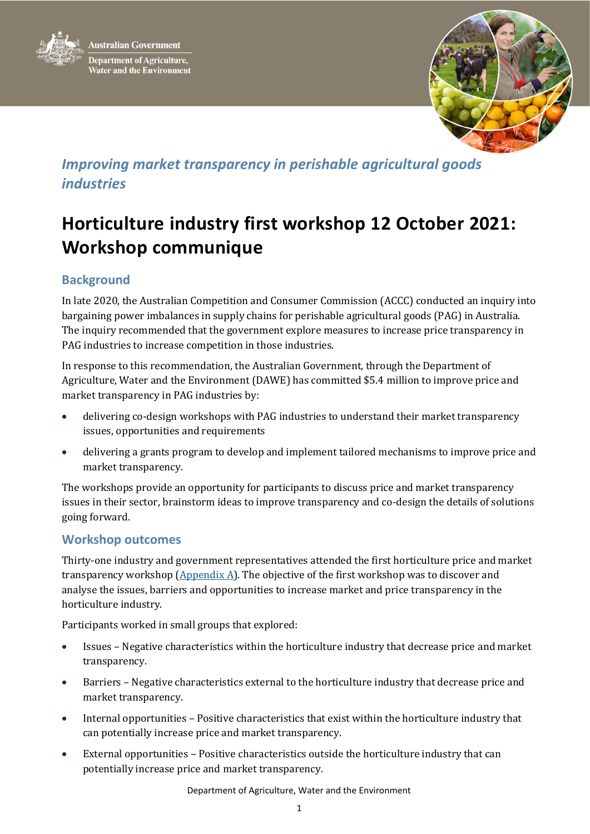



## *Improving market transparency in perishable agricultural goods industries*

# **Horticulture industry first workshop 12 October 2021: Workshop communique**

### **Background**

In late 2020, the Australian Competition and Consumer Commission (ACCC) conducted an inquiry into bargaining power imbalances in supply chains for perishable agricultural goods (PAG) in Australia. The inquiry recommended that the government explore measures to increase price transparency in PAG industries to increase competition in those industries.

In response to this recommendation, the Australian Government, through the Department of Agriculture, Water and the Environment (DAWE) has committed \$5.4 million to improve price and market transparency in PAG industries by:

- delivering co-design workshops with PAG industries to understand their market transparency issues, opportunities and requirements
- delivering a grants program to develop and implement tailored mechanisms to improve price and market transparency.

The workshops provide an opportunity for participants to discuss price and market transparency issues in their sector, brainstorm ideas to improve transparency and co-design the details of solutions going forward.

#### **Workshop outcomes**

Thirty-one industry and government representatives attended the first horticulture price and market transparency workshop ( $\Delta$ ppendix  $\Delta$ ). The objective of the first workshop was to discover and analyse the issues, barriers and opportunities to increase market and price transparency in the horticulture industry.

Participants worked in small groups that explored:

- Issues Negative characteristics within the horticulture industry that decrease price and market transparency.
- Barriers Negative characteristics external to the horticulture industry that decrease price and market transparency.
- Internal opportunities Positive characteristics that exist within the horticulture industry that can potentially increase price and market transparency.
- External opportunities Positive characteristics outside the horticulture industry that can potentially increase price and market transparency.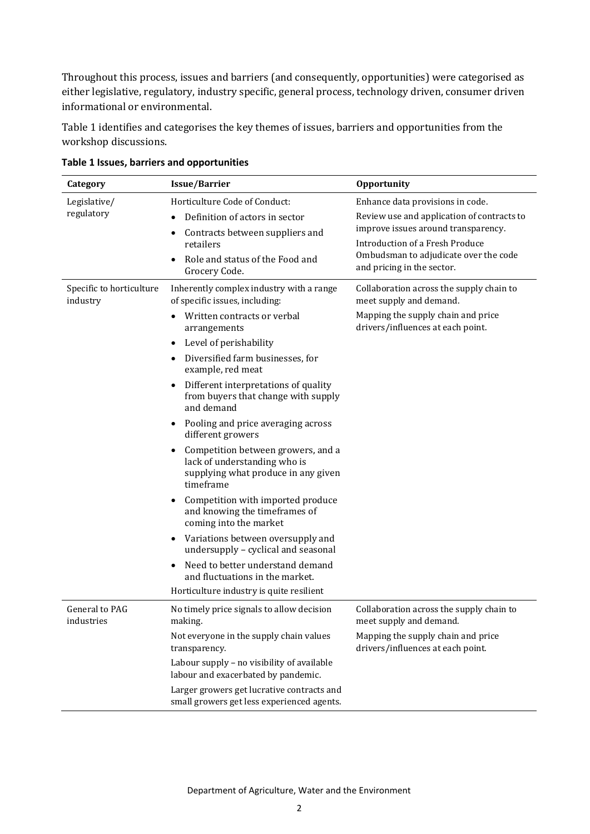Throughout this process, issues and barriers (and consequently, opportunities) were categorised as either legislative, regulatory, industry specific, general process, technology driven, consumer driven informational or environmental.

[Table 1](#page-1-0) identifies and categorises the key themes of issues, barriers and opportunities from the workshop discussions.

| Category                             | <b>Issue/Barrier</b>                                                                                                   | <b>Opportunity</b>                                                                                                                                                                          |
|--------------------------------------|------------------------------------------------------------------------------------------------------------------------|---------------------------------------------------------------------------------------------------------------------------------------------------------------------------------------------|
| Legislative/<br>regulatory           | Horticulture Code of Conduct:                                                                                          | Enhance data provisions in code.                                                                                                                                                            |
|                                      | Definition of actors in sector<br>Contracts between suppliers and<br>٠<br>retailers                                    | Review use and application of contracts to<br>improve issues around transparency.<br>Introduction of a Fresh Produce<br>Ombudsman to adjudicate over the code<br>and pricing in the sector. |
|                                      | Role and status of the Food and<br>Grocery Code.                                                                       |                                                                                                                                                                                             |
| Specific to horticulture<br>industry | Inherently complex industry with a range<br>of specific issues, including:                                             | Collaboration across the supply chain to<br>meet supply and demand.                                                                                                                         |
|                                      | Written contracts or verbal<br>arrangements                                                                            | Mapping the supply chain and price<br>drivers/influences at each point.                                                                                                                     |
|                                      | Level of perishability                                                                                                 |                                                                                                                                                                                             |
|                                      | Diversified farm businesses, for<br>٠<br>example, red meat                                                             |                                                                                                                                                                                             |
|                                      | Different interpretations of quality<br>٠<br>from buyers that change with supply<br>and demand                         |                                                                                                                                                                                             |
|                                      | Pooling and price averaging across<br>٠<br>different growers                                                           |                                                                                                                                                                                             |
|                                      | Competition between growers, and a<br>lack of understanding who is<br>supplying what produce in any given<br>timeframe |                                                                                                                                                                                             |
|                                      | Competition with imported produce<br>$\bullet$<br>and knowing the timeframes of<br>coming into the market              |                                                                                                                                                                                             |
|                                      | Variations between oversupply and<br>٠<br>undersupply - cyclical and seasonal                                          |                                                                                                                                                                                             |
|                                      | Need to better understand demand<br>$\bullet$<br>and fluctuations in the market.                                       |                                                                                                                                                                                             |
|                                      | Horticulture industry is quite resilient                                                                               |                                                                                                                                                                                             |
| General to PAG<br>industries         | No timely price signals to allow decision<br>making.                                                                   | Collaboration across the supply chain to<br>meet supply and demand.                                                                                                                         |
|                                      | Not everyone in the supply chain values<br>transparency.                                                               | Mapping the supply chain and price<br>drivers/influences at each point.                                                                                                                     |
|                                      | Labour supply - no visibility of available<br>labour and exacerbated by pandemic.                                      |                                                                                                                                                                                             |
|                                      | Larger growers get lucrative contracts and<br>small growers get less experienced agents.                               |                                                                                                                                                                                             |

<span id="page-1-0"></span>**Table 1 Issues, barriers and opportunities**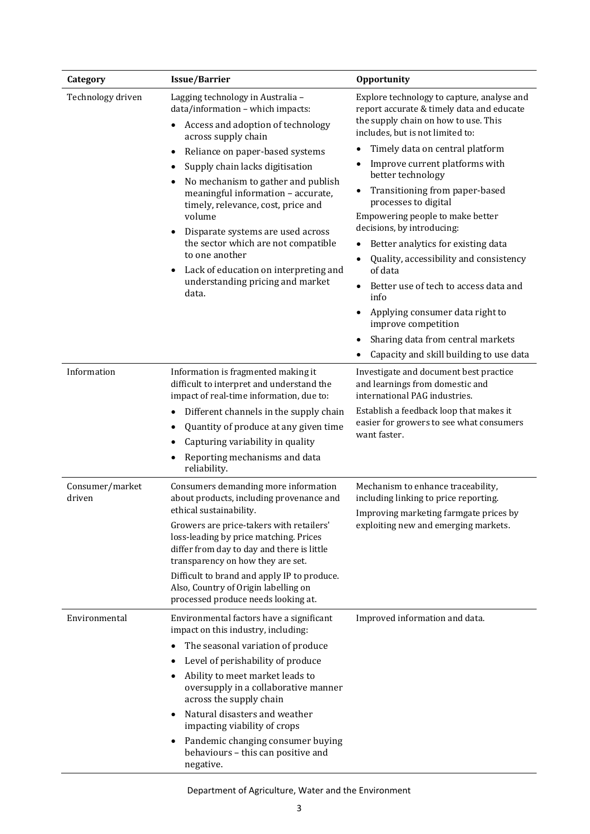| Category                  | <b>Issue/Barrier</b>                                                                                                                                                                                                                                                                                                                                                                                                                                                                                                          | Opportunity                                                                                                                                                                                                                                                                                                                                                                                                                                                                                                                                                                                                                                                                     |
|---------------------------|-------------------------------------------------------------------------------------------------------------------------------------------------------------------------------------------------------------------------------------------------------------------------------------------------------------------------------------------------------------------------------------------------------------------------------------------------------------------------------------------------------------------------------|---------------------------------------------------------------------------------------------------------------------------------------------------------------------------------------------------------------------------------------------------------------------------------------------------------------------------------------------------------------------------------------------------------------------------------------------------------------------------------------------------------------------------------------------------------------------------------------------------------------------------------------------------------------------------------|
| Technology driven         | Lagging technology in Australia -<br>data/information - which impacts:<br>Access and adoption of technology<br>across supply chain<br>Reliance on paper-based systems<br>Supply chain lacks digitisation<br>No mechanism to gather and publish<br>٠<br>meaningful information - accurate,<br>timely, relevance, cost, price and<br>volume<br>Disparate systems are used across<br>the sector which are not compatible<br>to one another<br>Lack of education on interpreting and<br>understanding pricing and market<br>data. | Explore technology to capture, analyse and<br>report accurate & timely data and educate<br>the supply chain on how to use. This<br>includes, but is not limited to:<br>Timely data on central platform<br>Improve current platforms with<br>better technology<br>Transitioning from paper-based<br>processes to digital<br>Empowering people to make better<br>decisions, by introducing:<br>Better analytics for existing data<br>Quality, accessibility and consistency<br>of data<br>Better use of tech to access data and<br>info<br>Applying consumer data right to<br>improve competition<br>Sharing data from central markets<br>Capacity and skill building to use data |
| Information               | Information is fragmented making it<br>difficult to interpret and understand the<br>impact of real-time information, due to:<br>Different channels in the supply chain<br>Quantity of produce at any given time<br>Capturing variability in quality<br>Reporting mechanisms and data<br>reliability.                                                                                                                                                                                                                          | Investigate and document best practice<br>and learnings from domestic and<br>international PAG industries.<br>Establish a feedback loop that makes it<br>easier for growers to see what consumers<br>want faster.                                                                                                                                                                                                                                                                                                                                                                                                                                                               |
| Consumer/market<br>driven | Consumers demanding more information<br>about products, including provenance and<br>ethical sustainability.<br>Growers are price-takers with retailers'<br>loss-leading by price matching. Prices<br>differ from day to day and there is little<br>transparency on how they are set.<br>Difficult to brand and apply IP to produce.<br>Also, Country of Origin labelling on<br>processed produce needs looking at.                                                                                                            | Mechanism to enhance traceability,<br>including linking to price reporting.<br>Improving marketing farmgate prices by<br>exploiting new and emerging markets.                                                                                                                                                                                                                                                                                                                                                                                                                                                                                                                   |
| Environmental             | Environmental factors have a significant<br>impact on this industry, including:<br>The seasonal variation of produce<br>$\bullet$<br>Level of perishability of produce<br>Ability to meet market leads to<br>oversupply in a collaborative manner<br>across the supply chain<br>Natural disasters and weather<br>impacting viability of crops<br>Pandemic changing consumer buying<br>$\bullet$<br>behaviours - this can positive and<br>negative.                                                                            | Improved information and data.                                                                                                                                                                                                                                                                                                                                                                                                                                                                                                                                                                                                                                                  |

Department of Agriculture, Water and the Environment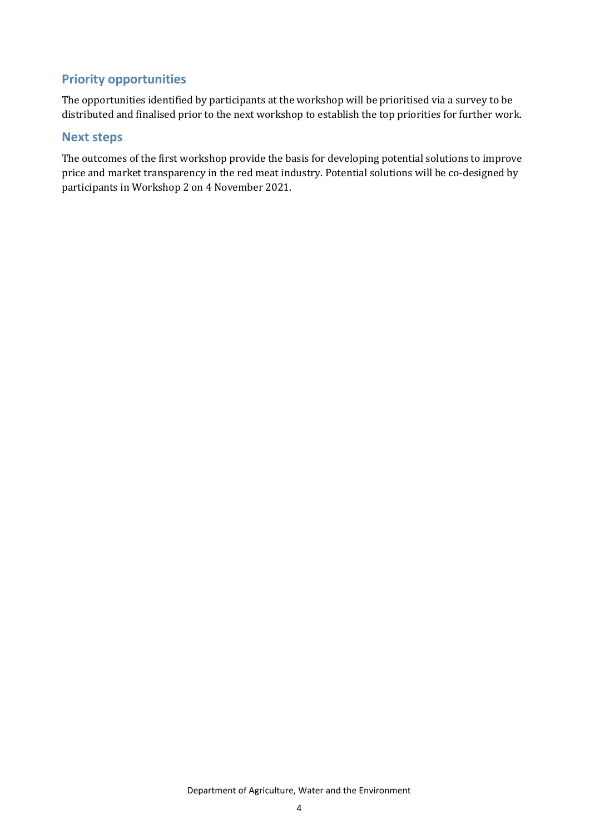#### **Priority opportunities**

The opportunities identified by participants at the workshop will be prioritised via a survey to be distributed and finalised prior to the next workshop to establish the top priorities for further work.

#### **Next steps**

The outcomes of the first workshop provide the basis for developing potential solutions to improve price and market transparency in the red meat industry. Potential solutions will be co-designed by participants in Workshop 2 on 4 November 2021.